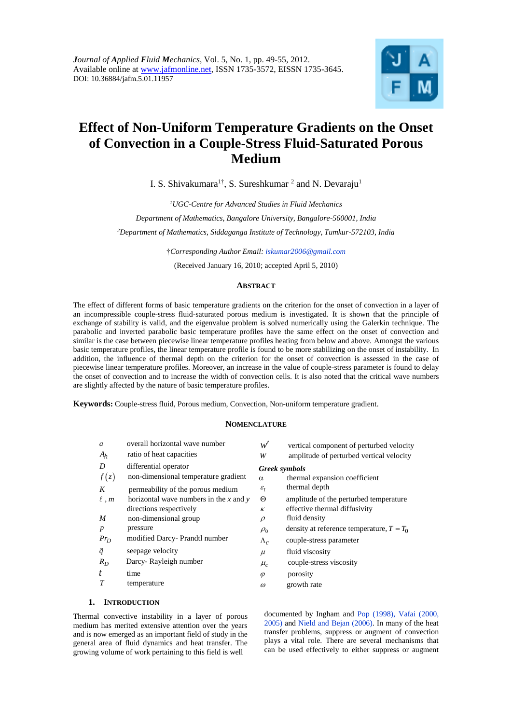

# **Effect of Non-Uniform Temperature Gradients on the Onset of Convection in a Couple-Stress Fluid-Saturated Porous Medium**

I. S. Shivakumara<sup>1†</sup>, S. Sureshkumar <sup>2</sup> and N. Devaraju<sup>1</sup>

*<sup>1</sup>UGC-Centre for Advanced Studies in Fluid Mechanics Department of Mathematics, Bangalore University, Bangalore-560001, India <sup>2</sup>Department of Mathematics, Siddaganga Institute of Technology, Tumkur-572103, India*

†*Corresponding Author Email: iskumar2006@gmail.com*

(Received January 16, 2010; accepted April 5, 2010)

## **ABSTRACT**

The effect of different forms of basic temperature gradients on the criterion for the onset of convection in a layer of an incompressible couple-stress fluid-saturated porous medium is investigated. It is shown that the principle of exchange of stability is valid, and the eigenvalue problem is solved numerically using the Galerkin technique. The parabolic and inverted parabolic basic temperature profiles have the same effect on the onset of convection and similar is the case between piecewise linear temperature profiles heating from below and above. Amongst the various basic temperature profiles, the linear temperature profile is found to be more stabilizing on the onset of instability. In addition, the influence of thermal depth on the criterion for the onset of convection is assessed in the case of piecewise linear temperature profiles. Moreover, an increase in the value of couple-stress parameter is found to delay the onset of convection and to increase the width of convection cells. It is also noted that the critical wave numbers are slightly affected by the nature of basic temperature profiles.

**Keywords:** Couple-stress fluid, Porous medium, Convection, Non-uniform temperature gradient.

# **NOMENCLATURE**

| a                | overall horizontal wave number           | w'                   | vertical component of perturbed velocity    |
|------------------|------------------------------------------|----------------------|---------------------------------------------|
| $A_h$            | ratio of heat capacities                 | W                    | amplitude of perturbed vertical velocity    |
| D                | differential operator                    | <b>Greek</b> symbols |                                             |
| f(z)             | non-dimensional temperature gradient     | $\alpha$             | thermal expansion coefficient               |
| K                | permeability of the porous medium        | $\varepsilon_{t}$    | thermal depth                               |
| $\ell$ , $m$     | horizontal wave numbers in the x and $y$ | $\Theta$             | amplitude of the perturbed temperature      |
|                  | directions respectively                  | $\kappa$             | effective thermal diffusivity               |
| $\boldsymbol{M}$ | non-dimensional group                    | $\rho$               | fluid density                               |
| $\boldsymbol{p}$ | pressure                                 | $\rho_0$             | density at reference temperature, $T = T_0$ |
| $Pr_D$           | modified Darcy- Prandtl number           | $\Lambda_c$          | couple-stress parameter                     |
| $\vec{q}$        | seepage velocity                         | $\mu$                | fluid viscosity                             |
| $R_D$            | Darcy-Rayleigh number                    | $\mu_c$              | couple-stress viscosity                     |
| t                | time                                     | $\varphi$            | porosity                                    |
| T                | temperature                              | $\omega$             | growth rate                                 |

# **1. INTRODUCTION**

Thermal convective instability in a layer of porous medium has merited extensive attention over the years and is now emerged as an important field of study in the general area of fluid dynamics and heat transfer. The growing volume of work pertaining to this field is well

documented by Ingham and Pop (1998), Vafai (2000, 2005) and Nield and Bejan (2006). In many of the heat transfer problems, suppress or augment of convection plays a vital role. There are several mechanisms that can be used effectively to either suppress or augment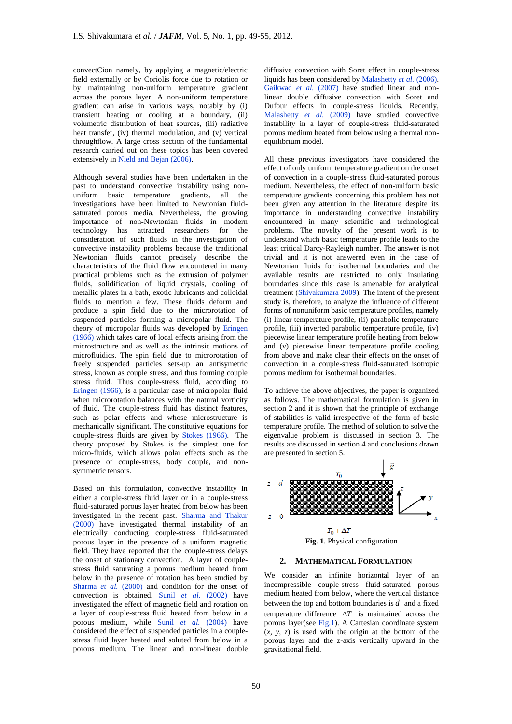convectCion namely, by applying a magnetic/electric field externally or by Coriolis force due to rotation or by maintaining non-uniform temperature gradient across the porous layer. A non-uniform temperature gradient can arise in various ways, notably by (i) transient heating or cooling at a boundary, (ii) volumetric distribution of heat sources, (iii) radiative heat transfer, (iv) thermal modulation, and (v) vertical throughflow. A large cross section of the fundamental research carried out on these topics has been covered extensively in Nield and Bejan (2006).

Although several studies have been undertaken in the past to understand convective instability using nonuniform basic temperature gradients, all the investigations have been limited to Newtonian fluidsaturated porous media. Nevertheless, the growing importance of non-Newtonian fluids in modern technology has attracted researchers for the consideration of such fluids in the investigation of convective instability problems because the traditional Newtonian fluids cannot precisely describe the characteristics of the fluid flow encountered in many practical problems such as the extrusion of polymer fluids, solidification of liquid crystals, cooling of metallic plates in a bath, exotic lubricants and colloidal fluids to mention a few. These fluids deform and produce a spin field due to the microrotation of suspended particles forming a micropolar fluid. The theory of micropolar fluids was developed by Eringen (1966) which takes care of local effects arising from the microstructure and as well as the intrinsic motions of microfluidics. The spin field due to microrotation of freely suspended particles sets-up an antisymetric stress, known as couple stress, and thus forming couple stress fluid. Thus couple-stress fluid, according to Eringen (1966), is a particular case of micropolar fluid when microrotation balances with the natural vorticity of fluid. The couple-stress fluid has distinct features, such as polar effects and whose microstructure is mechanically significant. The constitutive equations for couple-stress fluids are given by Stokes (1966). The theory proposed by Stokes is the simplest one for micro-fluids, which allows polar effects such as the presence of couple-stress, body couple, and nonsymmetric tensors.

Based on this formulation, convective instability in either a couple-stress fluid layer or in a couple-stress fluid-saturated porous layer heated from below has been investigated in the recent past. Sharma and Thakur (2000) have investigated thermal instability of an electrically conducting couple-stress fluid-saturated porous layer in the presence of a uniform magnetic field. They have reported that the couple-stress delays the onset of stationary convection. A layer of couplestress fluid saturating a porous medium heated from below in the presence of rotation has been studied by Sharma *et al.* (2000) and condition for the onset of convection is obtained. Sunil *et al.* (2002) have investigated the effect of magnetic field and rotation on a layer of couple-stress fluid heated from below in a porous medium, while Sunil *et al.* (2004) have considered the effect of suspended particles in a couplestress fluid layer heated and soluted from below in a porous medium. The linear and non-linear double

diffusive convection with Soret effect in couple-stress liquids has been considered by Malashetty *et al.* (2006). Gaikwad et al. (2007) have studied linear and nonlinear double diffusive convection with Soret and Dufour effects in couple-stress liquids. Recently, Malashetty *et al.* (2009) have studied convective instability in a layer of couple-stress fluid-saturated porous medium heated from below using a thermal nonequilibrium model.

All these previous investigators have considered the effect of only uniform temperature gradient on the onset of convection in a couple-stress fluid-saturated porous medium. Nevertheless, the effect of non-uniform basic temperature gradients concerning this problem has not been given any attention in the literature despite its importance in understanding convective instability encountered in many scientific and technological problems. The novelty of the present work is to understand which basic temperature profile leads to the least critical Darcy-Rayleigh number. The answer is not trivial and it is not answered even in the case of Newtonian fluids for isothermal boundaries and the available results are restricted to only insulating boundaries since this case is amenable for analytical treatment (Shivakumara 2009). The intent of the present study is, therefore, to analyze the influence of different forms of nonuniform basic temperature profiles, namely (i) linear temperature profile, (ii) parabolic temperature profile, (iii) inverted parabolic temperature profile, (iv) piecewise linear temperature profile heating from below and (v) piecewise linear temperature profile cooling from above and make clear their effects on the onset of convection in a couple-stress fluid-saturated isotropic porous medium for isothermal boundaries.

To achieve the above objectives, the paper is organized as follows. The mathematical formulation is given in section 2 and it is shown that the principle of exchange of stabilities is valid irrespective of the form of basic temperature profile. The method of solution to solve the eigenvalue problem is discussed in section 3. The results are discussed in section 4 and conclusions drawn are presented in section 5.



# **2. MATHEMATICAL FORMULATION**

We consider an infinite horizontal layer of an incompressible couple-stress fluid-saturated porous medium heated from below, where the vertical distance between the top and bottom boundaries is *d* and a fixed temperature difference  $\Delta T$  is maintained across the porous layer(see Fig.1). A Cartesian coordinate system (*x, y, z*) is used with the origin at the bottom of the porous layer and the z-axis vertically upward in the gravitational field.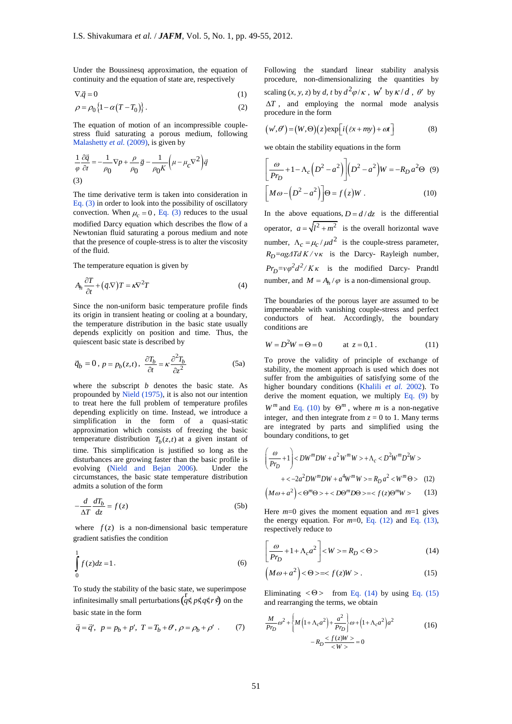Under the Boussinesq approximation, the equation of continuity and the equation of state are, respectively

$$
\nabla \cdot \vec{q} = 0 \tag{1}
$$

$$
\rho = \rho_0 \left\{ 1 - \alpha (T - T_0) \right\}.
$$
\n(2)

The equation of motion of an incompressible couplestress fluid saturating a porous medium, following Malashetty *et al.* (2009), is given by

$$
\frac{1}{\varphi} \frac{\partial \vec{q}}{\partial t} = -\frac{1}{\rho_0} \nabla p + \frac{\rho}{\rho_0} \vec{g} - \frac{1}{\rho_0 K} \left( \mu - \mu_c \nabla^2 \right) \vec{q}
$$
\n(3)

The time derivative term is taken into consideration in Eq. (3) in order to look into the possibility of oscillatory convection. When  $\mu_c = 0$ , Eq. (3) reduces to the usual modified Darcy equation which describes the flow of a Newtonian fluid saturating a porous medium and note that the presence of couple-stress is to alter the viscosity of the fluid.

The temperature equation is given by

$$
A_h \frac{\partial T}{\partial t} + (\vec{q}.\nabla)T = \kappa \nabla^2 T \tag{4}
$$

Since the non-uniform basic temperature profile finds its origin in transient heating or cooling at a boundary, the temperature distribution in the basic state usually depends explicitly on position and time. Thus, the quiescent basic state is described by

$$
\vec{q}_b = 0, \ p = p_b(z, t), \ \frac{\partial T_b}{\partial t} = \kappa \frac{\partial^2 T_b}{\partial z^2}
$$
 (5a)

where the subscript *b* denotes the basic state. As propounded by Nield (1975), it is also not our intention to treat here the full problem of temperature profiles depending explicitly on time. Instead, we introduce a simplification in the form of a quasi-static approximation which consists of freezing the basic temperature distribution  $T_b(z,t)$  at a given instant of time. This simplification is justified so long as the disturbances are growing faster than the basic profile is evolving (Nield and Bejan 2006). Under the circumstances, the basic state temperature distribution admits a solution of the form

$$
-\frac{d}{\Delta T}\frac{dT_b}{dz} = f(z)
$$
 (5b)

where  $f(z)$  is a non-dimensional basic temperature gradient satisfies the condition

$$
\int_{0}^{1} f(z)dz = 1.
$$
\n(6)

To study the stability of the basic state, we superimpose infinitesimally small perturbations  $(q \circ p \circ q \circ r \circ q)$  on the basic state in the form

$$
\vec{q} = \vec{q}', \ \ p = p_b + p', \ T = T_b + \theta', \ \rho = \rho_b + \rho' \ . \tag{7}
$$

Following the standard linear stability analysis procedure, non-dimensionalizing the quantities by scaling  $(x, y, z)$  by *d*, *t* by  $d^2\varphi/\kappa$ ,  $w'$  by  $\kappa/d$ ,  $\theta'$  by  $\Delta T$ , and employing the normal mode analysis procedure in the form

$$
(w', \theta') = (W, \Theta)(z) \exp[i(\ell x + my) + \omega t]
$$
 (8)

we obtain the stability equations in the form

$$
\left[\frac{\omega}{Pr_D} + 1 - \Lambda_c \left(D^2 - a^2\right)\right] \left(D^2 - a^2\right) W = -R_D a^2 \Theta \quad (9)
$$
  

$$
\left[M\omega - \left(D^2 - a^2\right)\right] \Theta = f(z)W \quad (10)
$$

In the above equations,  $D = d/dz$  is the differential operator,  $a = \sqrt{l^2 + m^2}$  is the overall horizontal wave number,  $\Lambda_c = \mu_c / \mu d^2$  is the couple-stress parameter,  $R_D = \alpha g \Delta T d K / v \kappa$  is the Darcy- Rayleigh number,  $Pr_D = \frac{v\phi^2 d^2}{K\kappa}$  is the modified Darcy- Prandtl number, and  $M = A_h / \varphi$  is a non-dimensional group.

The boundaries of the porous layer are assumed to be impermeable with vanishing couple-stress and perfect conductors of heat. Accordingly, the boundary conditions are

$$
W = D2W = \Theta = 0 \t at z = 0,1.
$$
 (11)

To prove the validity of principle of exchange of stability, the moment approach is used which does not suffer from the ambiguities of satisfying some of the higher boundary conditions (Khalili *et al.* 2002). To derive the moment equation, we multiply Eq.  $(9)$  by  $W^m$  and Eq. (10) by  $\Theta^m$ , where *m* is a non-negative integer, and then integrate from  $z = 0$  to 1. Many terms are integrated by parts and simplified using the

boundary conditions, to get  
\n
$$
\left(\frac{\omega}{p_{T_D}} + 1\right) < DW^m DW + a^2 W^m W > + \Lambda_c < D^2 W^m D^2 W > + < -2a^2 DW^m DW + a^4 W^m W > = R_D a^2 < W^m \Theta > (12)
$$
\n
$$
\left(M\omega + a^2\right) < \Theta^m \Theta > + < D\Theta^m D\Theta > = < f(z)\Theta^m W > (13)
$$

Here *m*=0 gives the moment equation and *m*=1 gives the energy equation. For  $m=0$ , Eq.  $(12)$  and Eq.  $(13)$ , respectively reduce to

$$
\left[\frac{\omega}{Pr_D} + 1 + \Lambda_c a^2\right] < W > = R_D < \Theta > \tag{14}
$$

$$
\left(M\omega + a^2\right) < \Theta > = < f(z)W > .\tag{15}
$$

Eliminating  $\langle \Theta \rangle$  from Eq. (14) by using Eq. (15) and rearranging the terms, we obtain

$$
\frac{M}{P r_D} \omega^2 + \left\{ M \left( 1 + \Lambda_c a^2 \right) + \frac{a^2}{P r_D} \right\} \omega + \left( 1 + \Lambda_c a^2 \right) a^2
$$
\n
$$
-R_D \frac{}{}\n= 0
$$
\n(16)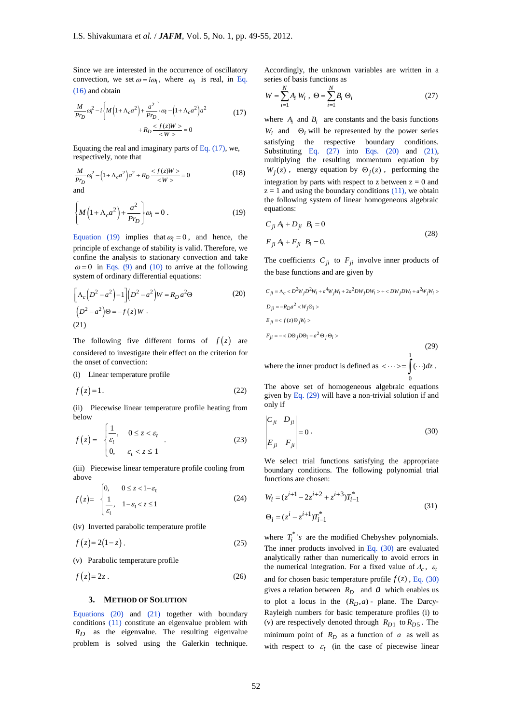Since we are interested in the occurrence of oscillatory convection, we set  $\omega = i\omega_i$ , where  $\omega_i$  is real, in Eq. (16) and obtain

$$
\frac{M}{P r_D} \omega_i^2 - i \left\{ M \left( 1 + \Lambda_c a^2 \right) + \frac{a^2}{P r_D} \right\} \omega_i - \left( 1 + \Lambda_c a^2 \right) a^2 + R_D \frac{}{} = 0
$$
\n(17)

Equating the real and imaginary parts of Eq.  $(17)$ , we, respectively, note that

$$
\frac{M}{P r_D} \omega_i^2 - (1 + \Lambda_c a^2) a^2 + R_D \frac{}{} = 0
$$
 (18)

$$
\left\{ M \left( 1 + \Lambda_c a^2 \right) + \frac{a^2}{Pr_D} \right\} \omega_i = 0 \ . \tag{19}
$$

Equation (19) implies that  $\omega_i = 0$ , and hence, the principle of exchange of stability is valid. Therefore, we confine the analysis to stationary convection and take  $\omega = 0$  in Eqs. (9) and (10) to arrive at the following system of ordinary differential equations:

$$
\left[\Lambda_c\left(D^2 - a^2\right) - 1\right]\left(D^2 - a^2\right)W = R_D a^2\Theta
$$
\n
$$
\left(D^2 - a^2\right)\Theta = -f(z)W.
$$
\n(21)

The following five different forms of  $f(z)$  are considered to investigate their effect on the criterion for the onset of convection:

(i) Linear temperature profile

$$
f(z) = 1.
$$
 (22)

(ii) Piecewise linear temperature profile heating from below

$$
f(z) = \begin{cases} \frac{1}{\varepsilon_t}, & 0 \le z < \varepsilon_t \\ 0, & \varepsilon_t < z \le 1 \end{cases}
$$
 (23)

(iii) Piecewise linear temperature profile cooling from above

$$
f(z) = \begin{cases} 0, & 0 \le z < 1 - \varepsilon_t \\ \frac{1}{\varepsilon_t}, & 1 - \varepsilon_t < z \le 1 \end{cases}
$$
 (24)

(iv) Inverted parabolic temperature profile

$$
f(z) = 2(1-z) \tag{25}
$$

(v) Parabolic temperature profile

$$
f(z) = 2z \tag{26}
$$

### **3. METHOD OF SOLUTION**

Equations (20) and (21) together with boundary conditions (11) constitute an eigenvalue problem with  $R_D$  as the eigenvalue. The resulting eigenvalue problem is solved using the Galerkin technique. Accordingly, the unknown variables are written in a series of basis functions as

$$
W = \sum_{i=1}^{N} A_i W_i, \ \Theta = \sum_{i=1}^{N} B_i \ \Theta_i
$$
 (27)

where  $A_i$  and  $B_i$  are constants and the basis functions  $W_i$  and  $\Theta_i$  will be represented by the power series satisfying the respective boundary conditions. Substituting Eq. (27) into Eqs. (20) and (21), multiplying the resulting momentum equation by  $W_j(z)$ , energy equation by  $\Theta_j(z)$ , performing the integration by parts with respect to z between  $z = 0$  and  $z = 1$  and using the boundary conditions (11), we obtain the following system of linear homogeneous algebraic equations:

$$
C_{ji} A_i + D_{ji} B_i = 0
$$
  
\n
$$
E_{ji} A_i + F_{ji} B_i = 0.
$$
\n(28)

The coefficients  $C_{ji}$  to  $F_{ji}$  involve inner products of the base functions and are given by

$$
C_{ji} = \Lambda_c < D^2 W_j D^2 W_i + a^4 W_j W_i + 2a^2 D W_j D W_i > + < D W_j D W_i + a^2 W_j W_i >
$$
  
\n
$$
D_{ji} = -R_D a^2 < W_j \Theta_i >
$$
  
\n
$$
E_{ji} =
$$
  
\n
$$
F_{ji} = -
$$
  
\n(29)

where the inner product is defined as  $\langle \cdots \rangle = \int (\cdots) dz$ . 0

The above set of homogeneous algebraic equations given by Eq. (29) will have a non-trivial solution if and only if

$$
\begin{vmatrix} C_{ji} & D_{ji} \ E_{ji} & F_{ji} \end{vmatrix} = 0.
$$
 (30)

We select trial functions satisfying the appropriate boundary conditions. The following polynomial trial functions are chosen:

$$
W_i = (z^{i+1} - 2z^{i+2} + z^{i+3})T_{i-1}^*
$$
  
\n
$$
\Theta_i = (z^i - z^{i+1})T_{i-1}^*
$$
\n(31)

where  $T_i^*$ 's are the modified Chebyshev polynomials. The inner products involved in Eq. (30) are evaluated analytically rather than numerically to avoid errors in the numerical integration. For a fixed value of  $\Lambda_c$ ,  $\varepsilon$ <sub>*t*</sub> and for chosen basic temperature profile  $f(z)$ , Eq. (30) gives a relation between  $R_D$  and  $\hat{a}$  which enables us to plot a locus in the  $(R_D, a)$  - plane. The Darcy-Rayleigh numbers for basic temperature profiles (i) to (v) are respectively denoted through  $R_{D1}$  to  $R_{D5}$ . The minimum point of  $R_D$  as a function of  $a$  as well as with respect to  $\varepsilon_t$  (in the case of piecewise linear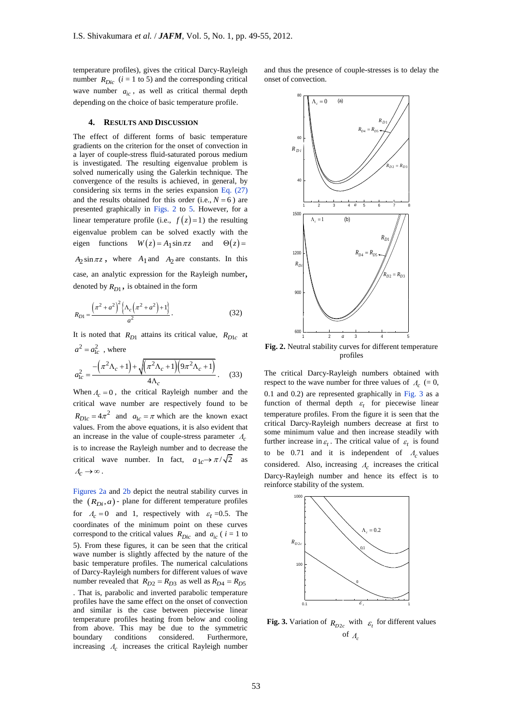temperature profiles), gives the critical Darcy-Rayleigh number  $R_{Dic}$  ( $i = 1$  to 5) and the corresponding critical wave number  $a_{ic}$ , as well as critical thermal depth depending on the choice of basic temperature profile.

### **4. RESULTS AND DISCUSSION**

The effect of different forms of basic temperature gradients on the criterion for the onset of convection in a layer of couple-stress fluid-saturated porous medium is investigated. The resulting eigenvalue problem is solved numerically using the Galerkin technique. The convergence of the results is achieved, in general, by considering six terms in the series expansion Eq. (27) and the results obtained for this order (i.e.,  $N = 6$ ) are presented graphically in Figs. 2 to 5. However, for a linear temperature profile (i.e.,  $f(z)=1$ ) the resulting eigenvalue problem can be solved exactly with the eigen functions  $W(z) = A_1 \sin \pi z$  and  $\Theta(z)$  $A_2 \sin \pi z$ , where  $A_1$  and  $A_2$  are constants. In this case, an analytic expression for the Rayleigh number, denoted by  $R_{D1}$ , is obtained in the form

$$
R_{D1} = \frac{\left(\pi^2 + a^2\right)^2 \left\{\Lambda_c \left(\pi^2 + a^2\right) + 1\right\}}{a^2}.
$$
 (32)

It is noted that  $R_{D1}$  attains its critical value,  $R_{D1c}$  at  $a^2 = a_{1c}^2$ , where

$$
a_{1c}^2 = \frac{-(\pi^2 \Lambda_c + 1) + \sqrt{(\pi^2 \Lambda_c + 1)(9\pi^2 \Lambda_c + 1)}}{4\Lambda_c}.
$$
 (33)

When  $A_c = 0$ , the critical Rayleigh number and the critical wave number are respectively found to be  $R_{D1c} = 4\pi^2$  and  $a_{1c} = \pi$  which are the known exact values. From the above equations, it is also evident that an increase in the value of couple-stress parameter *Λc* is to increase the Rayleigh number and to decrease the critical wave number. In fact,  $a_{1c} \rightarrow \pi/\sqrt{2}$  as  $\Lambda_c \rightarrow \infty$ .

Figures 2a and 2b depict the neutral stability curves in the  $(R_{Di}, a)$  - plane for different temperature profiles for  $\Lambda_c = 0$  and 1, respectively with  $\varepsilon_t = 0.5$ . The coordinates of the minimum point on these curves correspond to the critical values  $R_{Dic}$  and  $a_{ic}$  (  $i = 1$  to 5). From these figures, it can be seen that the critical wave number is slightly affected by the nature of the basic temperature profiles. The numerical calculations of Darcy-Rayleigh numbers for different values of wave number revealed that  $R_{D2} = R_{D3}$  as well as  $R_{D4} = R_{D5}$ . That is, parabolic and inverted parabolic temperature profiles have the same effect on the onset of convection and similar is the case between piecewise linear temperature profiles heating from below and cooling from above. This may be due to the symmetric boundary conditions considered. Furthermore, increasing *Λc* increases the critical Rayleigh number and thus the presence of couple-stresses is to delay the onset of convection.



**Fig. 2.** Neutral stability curves for different temperature profiles

The critical Darcy-Rayleigh numbers obtained with respect to the wave number for three values of  $\Lambda_c$  (= 0, profiles<br>profiles<br>The critical Darcy-Rayleigh numbers obtained with<br>respect to the wave number for three values of  $A_c$  (= 0,<br>0.1 and 0.2) are represented graphically in Fig. 3 as a function of thermal depth  $\varepsilon_t$  for piecewise linear temperature profiles. From the figure it is seen that the critical Darcy-Rayleigh numbers decrease at first to some minimum value and then increase steadily with further increase in  $\varepsilon_t$ . The critical value of  $\varepsilon_t$  is found to be 0.71 and it is independent of  $A_c$  values considered. Also, increasing *Λc* increases the critical Darcy-Rayleigh number and hence its effect is to reinforce stability of the system.



**Fig. 3.** Variation of  $R_{D2c}$  with  $\varepsilon_t$  for different values of *Λc*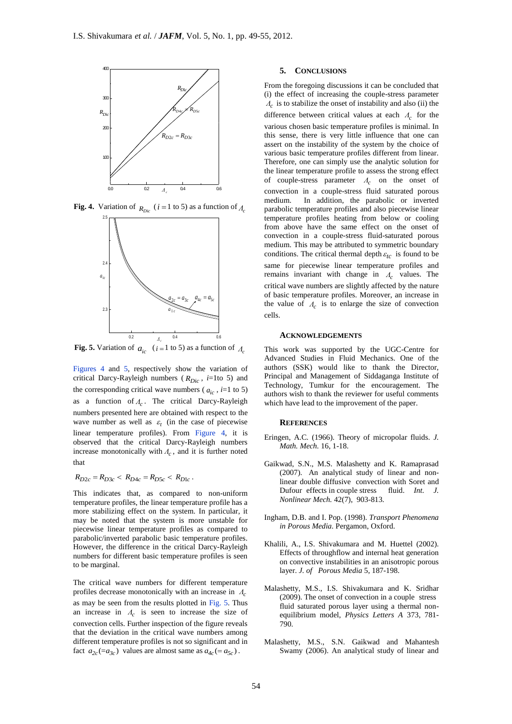

**Fig. 4.** Variation of  $_{R_{Dic}}$  ( $i = 1$  to 5) as a function of  $_{A_c}$ 



**Fig. 5.** Variation of  $a_{ic}$  (*i* = 1 to 5) as a function of  $A_c$ 

Figures 4 and 5, respectively show the variation of critical Darcy-Rayleigh numbers ( *RDic* , *i*=1to 5) and the corresponding critical wave numbers ( $a_{ic}$ ,  $i=1$  to 5) as a function of *Λc* . The critical Darcy-Rayleigh numbers presented here are obtained with respect to the wave number as well as  $\varepsilon_t$  (in the case of piecewise linear temperature profiles). From Figure 4, it is observed that the critical Darcy-Rayleigh numbers increase monotonically with *Λc* , and it is further noted that

$$
R_{D2c} = R_{D3c} < R_{D4c} = R_{D5c} < R_{D1c}
$$

This indicates that, as compared to non-uniform temperature profiles, the linear temperature profile has a more stabilizing effect on the system. In particular, it may be noted that the system is more unstable for piecewise linear temperature profiles as compared to parabolic/inverted parabolic basic temperature profiles. However, the difference in the critical Darcy-Rayleigh numbers for different basic temperature profiles is seen to be marginal.

*.*

The critical wave numbers for different temperature profiles decrease monotonically with an increase in *Λc* as may be seen from the results plotted in Fig. 5. Thus an increase in *Λc* is seen to increase the size of convection cells. Further inspection of the figure reveals that the deviation in the critical wave numbers among different temperature profiles is not so significant and in fact  $a_{2c} (= a_{3c})$  values are almost same as  $a_{4c} (= a_{5c})$ .

# **5. CONCLUSIONS**

From the foregoing discussions it can be concluded that (i) the effect of increasing the couple-stress parameter *Λc* is to stabilize the onset of instability and also (ii) the difference between critical values at each *Λc* for the various chosen basic temperature profiles is minimal. In this sense, there is very little influence that one can assert on the instability of the system by the choice of various basic temperature profiles different from linear. Therefore, one can simply use the analytic solution for the linear temperature profile to assess the strong effect of couple-stress parameter *Λc* on the onset of convection in a couple-stress fluid saturated porous medium. In addition, the parabolic or inverted parabolic temperature profiles and also piecewise linear temperature profiles heating from below or cooling from above have the same effect on the onset of convection in a couple-stress fluid-saturated porous medium. This may be attributed to symmetric boundary conditions. The critical thermal depth  $\varepsilon_{tc}$  is found to be same for piecewise linear temperature profiles and remains invariant with change in *Λc* values. The critical wave numbers are slightly affected by the nature of basic temperature profiles. Moreover, an increase in the value of  $\Lambda_c$  is to enlarge the size of convection cells.

#### **ACKNOWLEDGEMENTS**

This work was supported by the UGC-Centre for Advanced Studies in Fluid Mechanics. One of the authors (SSK) would like to thank the Director, Principal and Management of Siddaganga Institute of Technology, Tumkur for the encouragement. The authors wish to thank the reviewer for useful comments which have lead to the improvement of the paper.

#### **REFERENCES**

- Eringen, A.C. (1966). Theory of micropolar fluids. *J. Math. Mech.* 16, 1-18.
- Gaikwad, S.N., M.S. Malashetty and K. Ramaprasad (2007). An analytical study of linear and nonlinear double diffusive convection with Soret and Dufour effects in couple stress fluid. *Int. J. Nonlinear Mech.* 42(7), 903-813.
- Ingham, D.B. and I. Pop. (1998). *Transport Phenomena in Porous Media*. Pergamon, Oxford.
- Khalili, A., I.S. Shivakumara and M. Huettel (2002). Effects of throughflow and internal heat generation on convective instabilities in an anisotropic porous layer. *J. of Porous Media* 5, 187-198.
- Malashetty, M.S., I.S. Shivakumara and K. Sridhar (2009). The onset of convection in a couple stress fluid saturated porous layer using a thermal nonequilibrium model, *Physics Letters A* 373, 781- 790.
- Malashetty, M.S., S.N. Gaikwad and Mahantesh Swamy (2006). An analytical study of linear and